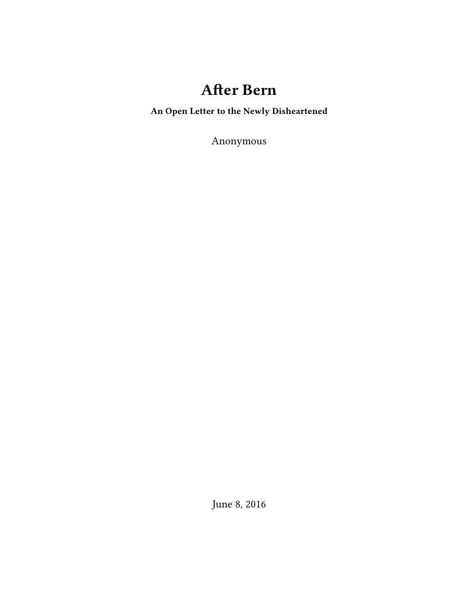## **After Bern**

**An Open Letter to the Newly Disheartened**

Anonymous

June 8, 2016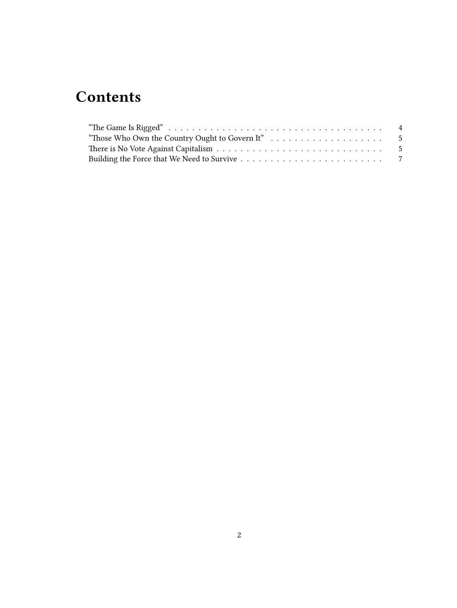# **Contents**

| "Those Who Own the Country Ought to Govern It" $\dots \dots \dots \dots \dots \dots \dots$ |  |
|--------------------------------------------------------------------------------------------|--|
|                                                                                            |  |
|                                                                                            |  |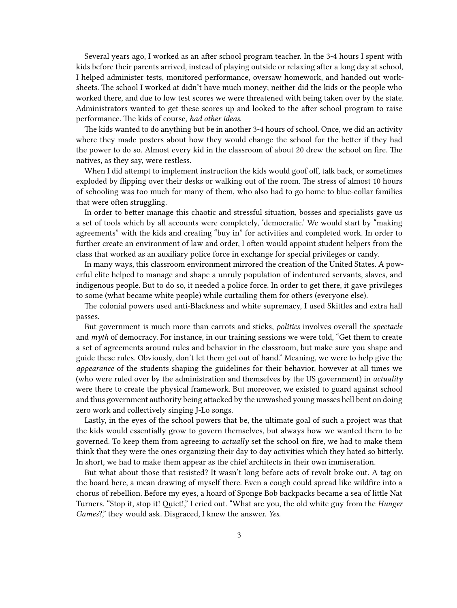Several years ago, I worked as an after school program teacher. In the 3-4 hours I spent with kids before their parents arrived, instead of playing outside or relaxing after a long day at school, I helped administer tests, monitored performance, oversaw homework, and handed out worksheets. The school I worked at didn't have much money; neither did the kids or the people who worked there, and due to low test scores we were threatened with being taken over by the state. Administrators wanted to get these scores up and looked to the after school program to raise performance. The kids of course, *had other ideas*.

The kids wanted to do anything but be in another 3-4 hours of school. Once, we did an activity where they made posters about how they would change the school for the better if they had the power to do so. Almost every kid in the classroom of about 20 drew the school on fire. The natives, as they say, were restless.

When I did attempt to implement instruction the kids would goof off, talk back, or sometimes exploded by flipping over their desks or walking out of the room. The stress of almost 10 hours of schooling was too much for many of them, who also had to go home to blue-collar families that were often struggling.

In order to better manage this chaotic and stressful situation, bosses and specialists gave us a set of tools which by all accounts were completely, 'democratic.' We would start by "making agreements" with the kids and creating "buy in" for activities and completed work. In order to further create an environment of law and order, I often would appoint student helpers from the class that worked as an auxiliary police force in exchange for special privileges or candy.

In many ways, this classroom environment mirrored the creation of the United States. A powerful elite helped to manage and shape a unruly population of indentured servants, slaves, and indigenous people. But to do so, it needed a police force. In order to get there, it gave privileges to some (what became white people) while curtailing them for others (everyone else).

The colonial powers used anti-Blackness and white supremacy, I used Skittles and extra hall passes.

But government is much more than carrots and sticks, *politics* involves overall the *spectacle* and *myth* of democracy. For instance, in our training sessions we were told, "Get them to create a set of agreements around rules and behavior in the classroom, but make sure you shape and guide these rules. Obviously, don't let them get out of hand." Meaning, we were to help give the *appearance* of the students shaping the guidelines for their behavior, however at all times we (who were ruled over by the administration and themselves by the US government) in *actuality* were there to create the physical framework. But moreover, we existed to guard against school and thus government authority being attacked by the unwashed young masses hell bent on doing zero work and collectively singing J-Lo songs.

Lastly, in the eyes of the school powers that be, the ultimate goal of such a project was that the kids would essentially grow to govern themselves, but always how we wanted them to be governed*.* To keep them from agreeing to *actually* set the school on fire, we had to make them think that they were the ones organizing their day to day activities which they hated so bitterly. In short, we had to make them appear as the chief architects in their own immiseration.

But what about those that resisted? It wasn't long before acts of revolt broke out. A tag on the board here, a mean drawing of myself there. Even a cough could spread like wildfire into a chorus of rebellion. Before my eyes, a hoard of Sponge Bob backpacks became a sea of little Nat Turners. "Stop it, stop it! Quiet!," I cried out. "What are you, the old white guy from the *Hunger Games*?," they would ask. Disgraced, I knew the answer. *Yes.*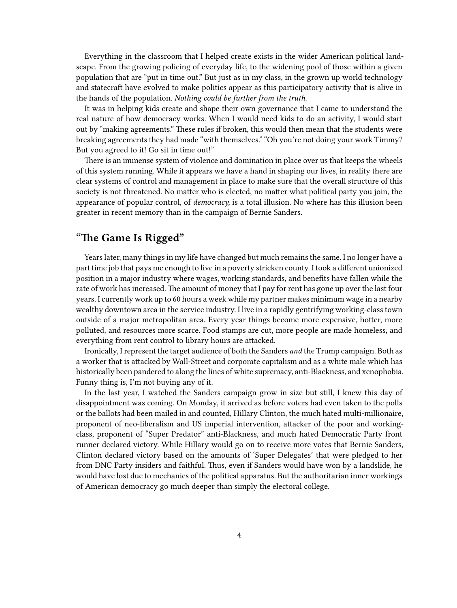Everything in the classroom that I helped create exists in the wider American political landscape. From the growing policing of everyday life, to the widening pool of those within a given population that are "put in time out." But just as in my class, in the grown up world technology and statecraft have evolved to make politics appear as this participatory activity that is alive in the hands of the population. *Nothing could be further from the truth.*

It was in helping kids create and shape their own governance that I came to understand the real nature of how democracy works. When I would need kids to do an activity, I would start out by "making agreements." These rules if broken, this would then mean that the students were breaking agreements they had made "with themselves." "Oh you're not doing your work Timmy? But you agreed to it! Go sit in time out!"

There is an immense system of violence and domination in place over us that keeps the wheels of this system running. While it appears we have a hand in shaping our lives, in reality there are clear systems of control and management in place to make sure that the overall structure of this society is not threatened. No matter who is elected, no matter what political party you join, the appearance of popular control, of *democracy,* is a total illusion. No where has this illusion been greater in recent memory than in the campaign of Bernie Sanders.

## <span id="page-3-0"></span>**"The Game Is Rigged"**

Years later, many things in my life have changed but much remains the same. I no longer have a part time job that pays me enough to live in a poverty stricken county. I took a different unionized position in a major industry where wages, working standards, and benefits have fallen while the rate of work has increased. The amount of money that I pay for rent has gone up over the last four years. I currently work up to 60 hours a week while my partner makes minimum wage in a nearby wealthy downtown area in the service industry. I live in a rapidly gentrifying working-class town outside of a major metropolitan area. Every year things become more expensive, hotter, more polluted, and resources more scarce. Food stamps are cut, more people are made homeless, and everything from rent control to library hours are attacked.

Ironically, I represent the target audience of both the Sanders *and* the Trump campaign. Both as a worker that is attacked by Wall-Street and corporate capitalism and as a white male which has historically been pandered to along the lines of white supremacy, anti-Blackness, and xenophobia. Funny thing is, I'm not buying any of it.

In the last year, I watched the Sanders campaign grow in size but still, I knew this day of disappointment was coming. On Monday, it arrived as before voters had even taken to the polls or the ballots had been mailed in and counted, Hillary Clinton, the much hated multi-millionaire, proponent of neo-liberalism and US imperial intervention, attacker of the poor and workingclass, proponent of "Super Predator" anti-Blackness, and much hated Democratic Party front runner declared victory. While Hillary would go on to receive more votes that Bernie Sanders, Clinton declared victory based on the amounts of 'Super Delegates' that were pledged to her from DNC Party insiders and faithful. Thus, even if Sanders would have won by a landslide, he would have lost due to mechanics of the political apparatus. But the authoritarian inner workings of American democracy go much deeper than simply the electoral college.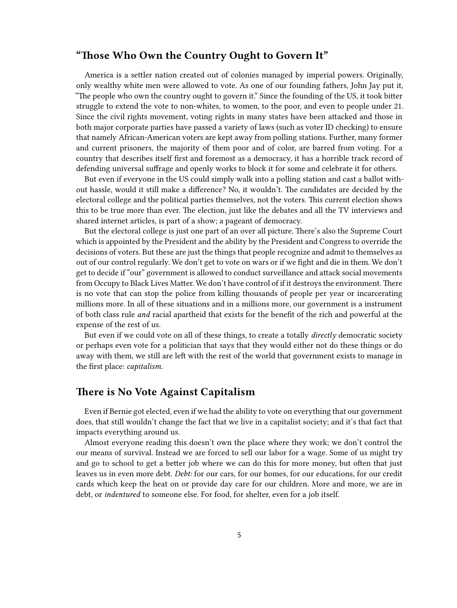### <span id="page-4-0"></span>**"Those Who Own the Country Ought to Govern It"**

America is a settler nation created out of colonies managed by imperial powers. Originally, only wealthy white men were allowed to vote. As one of our founding fathers, John Jay put it, "The people who own the country ought to govern it." Since the founding of the US, it took bitter struggle to extend the vote to non-whites, to women, to the poor, and even to people under 21. Since the civil rights movement, voting rights in many states have been attacked and those in both major corporate parties have passed a variety of laws (such as voter ID checking) to ensure that namely African-American voters are kept away from polling stations. Further, many former and current prisoners, the majority of them poor and of color, are barred from voting. For a country that describes itself first and foremost as a democracy, it has a horrible track record of defending universal suffrage and openly works to block it for some and celebrate it for others.

But even if everyone in the US could simply walk into a polling station and cast a ballot without hassle, would it still make a difference? No, it wouldn't. The candidates are decided by the electoral college and the political parties themselves, not the voters. This current election shows this to be true more than ever. The election, just like the debates and all the TV interviews and shared internet articles, is part of a show; a pageant of democracy.

But the electoral college is just one part of an over all picture. There's also the Supreme Court which is appointed by the President and the ability by the President and Congress to override the decisions of voters. But these are just the things that people recognize and admit to themselves as out of our control regularly. We don't get to vote on wars or if we fight and die in them. We don't get to decide if "our" government is allowed to conduct surveillance and attack social movements from Occupy to Black Lives Matter. We don't have control of if it destroys the environment. There is no vote that can stop the police from killing thousands of people per year or incarcerating millions more. In all of these situations and in a millions more, our government is a instrument of both class rule *and* racial apartheid that exists for the benefit of the rich and powerful at the expense of the rest of us.

But even if we could vote on all of these things, to create a totally *directly* democratic society or perhaps even vote for a politician that says that they would either not do these things or do away with them, we still are left with the rest of the world that government exists to manage in the first place: *capitalism.*

#### <span id="page-4-1"></span>**There is No Vote Against Capitalism**

Even if Bernie got elected, even if we had the ability to vote on everything that our government does, that still wouldn't change the fact that we live in a capitalist society; and it's that fact that impacts everything around us.

Almost everyone reading this doesn't own the place where they work; we don't control the our means of survival. Instead we are forced to sell our labor for a wage. Some of us might try and go to school to get a better job where we can do this for more money, but often that just leaves us in even more debt. *Debt:* for our cars, for our homes, for our educations, for our credit cards which keep the heat on or provide day care for our children. More and more, we are in debt, or *indentured* to someone else. For food, for shelter, even for a job itself.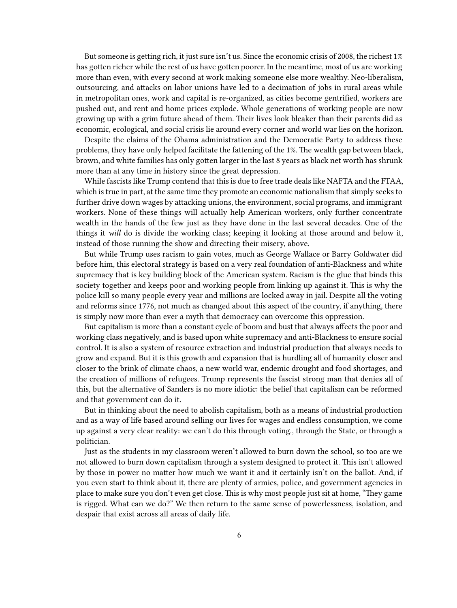But someone is getting rich, it just sure isn't us. Since the economic crisis of 2008, the richest 1% has gotten richer while the rest of us have gotten poorer. In the meantime, most of us are working more than even, with every second at work making someone else more wealthy. Neo-liberalism, outsourcing, and attacks on labor unions have led to a decimation of jobs in rural areas while in metropolitan ones, work and capital is re-organized, as cities become gentrified, workers are pushed out, and rent and home prices explode. Whole generations of working people are now growing up with a grim future ahead of them. Their lives look bleaker than their parents did as economic, ecological, and social crisis lie around every corner and world war lies on the horizon.

Despite the claims of the Obama administration and the Democratic Party to address these problems, they have only helped facilitate the fattening of the 1%. The wealth gap between black, brown, and white families has only gotten larger in the last 8 years as black net worth has shrunk more than at any time in history since the great depression.

While fascists like Trump contend that this is due to free trade deals like NAFTA and the FTAA, which is true in part, at the same time they promote an economic nationalism that simply seeks to further drive down wages by attacking unions, the environment, social programs, and immigrant workers. None of these things will actually help American workers, only further concentrate wealth in the hands of the few just as they have done in the last several decades. One of the things it *will* do is divide the working class; keeping it looking at those around and below it, instead of those running the show and directing their misery, above.

But while Trump uses racism to gain votes, much as George Wallace or Barry Goldwater did before him, this electoral strategy is based on a very real foundation of anti-Blackness and white supremacy that is key building block of the American system. Racism is the glue that binds this society together and keeps poor and working people from linking up against it. This is why the police kill so many people every year and millions are locked away in jail. Despite all the voting and reforms since 1776, not much as changed about this aspect of the country, if anything, there is simply now more than ever a myth that democracy can overcome this oppression.

But capitalism is more than a constant cycle of boom and bust that always affects the poor and working class negatively, and is based upon white supremacy and anti-Blackness to ensure social control. It is also a system of resource extraction and industrial production that always needs to grow and expand. But it is this growth and expansion that is hurdling all of humanity closer and closer to the brink of climate chaos, a new world war, endemic drought and food shortages, and the creation of millions of refugees. Trump represents the fascist strong man that denies all of this, but the alternative of Sanders is no more idiotic: the belief that capitalism can be reformed and that government can do it.

But in thinking about the need to abolish capitalism, both as a means of industrial production and as a way of life based around selling our lives for wages and endless consumption, we come up against a very clear reality: we can't do this through voting., through the State, or through a politician.

Just as the students in my classroom weren't allowed to burn down the school, so too are we not allowed to burn down capitalism through a system designed to protect it. This isn't allowed by those in power no matter how much we want it and it certainly isn't on the ballot. And, if you even start to think about it, there are plenty of armies, police, and government agencies in place to make sure you don't even get close. This is why most people just sit at home, "They game is rigged. What can we do?" We then return to the same sense of powerlessness, isolation, and despair that exist across all areas of daily life.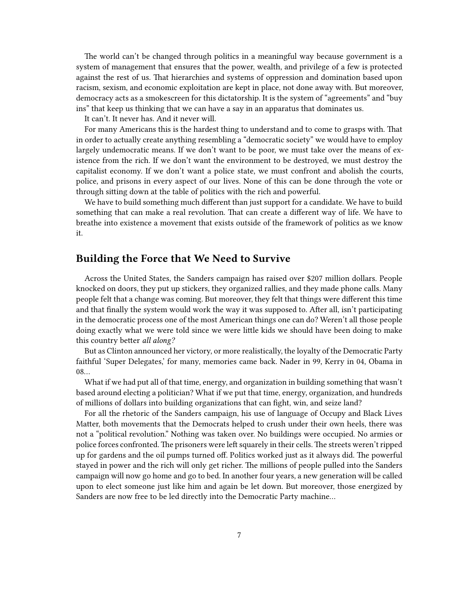The world can't be changed through politics in a meaningful way because government is a system of management that ensures that the power, wealth, and privilege of a few is protected against the rest of us. That hierarchies and systems of oppression and domination based upon racism, sexism, and economic exploitation are kept in place, not done away with. But moreover, democracy acts as a smokescreen for this dictatorship. It is the system of "agreements" and "buy ins" that keep us thinking that we can have a say in an apparatus that dominates us.

It can't. It never has. And it never will.

For many Americans this is the hardest thing to understand and to come to grasps with. That in order to actually create anything resembling a "democratic society" we would have to employ largely undemocratic means. If we don't want to be poor, we must take over the means of existence from the rich. If we don't want the environment to be destroyed, we must destroy the capitalist economy. If we don't want a police state, we must confront and abolish the courts, police, and prisons in every aspect of our lives. None of this can be done through the vote or through sitting down at the table of politics with the rich and powerful.

We have to build something much different than just support for a candidate. We have to build something that can make a real revolution. That can create a different way of life. We have to breathe into existence a movement that exists outside of the framework of politics as we know it.

#### <span id="page-6-0"></span>**Building the Force that We Need to Survive**

Across the United States, the Sanders campaign has raised over \$207 million dollars. People knocked on doors, they put up stickers, they organized rallies, and they made phone calls. Many people felt that a change was coming. But moreover, they felt that things were different this time and that finally the system would work the way it was supposed to. After all, isn't participating in the democratic process one of the most American things one can do? Weren't all those people doing exactly what we were told since we were little kids we should have been doing to make this country better *all along?*

But as Clinton announced her victory, or more realistically, the loyalty of the Democratic Party faithful 'Super Delegates,' for many, memories came back. Nader in 99, Kerry in 04, Obama in 08…

What if we had put all of that time, energy, and organization in building something that wasn't based around electing a politician? What if we put that time, energy, organization, and hundreds of millions of dollars into building organizations that can fight, win, and seize land?

For all the rhetoric of the Sanders campaign, his use of language of Occupy and Black Lives Matter, both movements that the Democrats helped to crush under their own heels, there was not a "political revolution." Nothing was taken over. No buildings were occupied. No armies or police forces confronted. The prisoners were left squarely in their cells. The streets weren't ripped up for gardens and the oil pumps turned off. Politics worked just as it always did. The powerful stayed in power and the rich will only get richer. The millions of people pulled into the Sanders campaign will now go home and go to bed. In another four years, a new generation will be called upon to elect someone just like him and again be let down. But moreover, those energized by Sanders are now free to be led directly into the Democratic Party machine…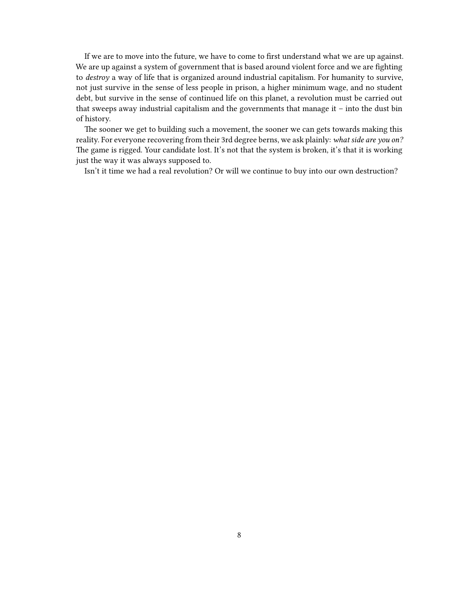If we are to move into the future, we have to come to first understand what we are up against. We are up against a system of government that is based around violent force and we are fighting to *destroy* a way of life that is organized around industrial capitalism. For humanity to survive, not just survive in the sense of less people in prison, a higher minimum wage, and no student debt, but survive in the sense of continued life on this planet, a revolution must be carried out that sweeps away industrial capitalism and the governments that manage it – into the dust bin of history.

The sooner we get to building such a movement, the sooner we can gets towards making this reality. For everyone recovering from their 3rd degree berns, we ask plainly: *what side are you on?* The game is rigged. Your candidate lost. It's not that the system is broken, it's that it is working just the way it was always supposed to.

Isn't it time we had a real revolution? Or will we continue to buy into our own destruction?